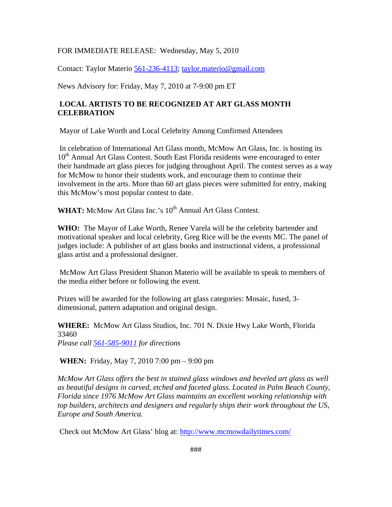## FOR IMMEDIATE RELEASE: Wednesday, May 5, 2010

Contact: Taylor Materio 561-236-4113; [taylor.materio@gmail.com](mailto:tricia_mcmow@hotmail.com)

News Advisory for: Friday, May 7, 2010 at 7-9:00 pm ET

## **LOCAL ARTISTS TO BE RECOGNIZED AT ART GLASS MONTH CELEBRATION**

Mayor of Lake Worth and Local Celebrity Among Confirmed Attendees

 In celebration of International Art Glass month, McMow Art Glass, Inc. is hosting its 10<sup>th</sup> Annual Art Glass Contest. South East Florida residents were encouraged to enter their handmade art glass pieces for judging throughout April. The contest serves as a way for McMow to honor their students work, and encourage them to continue their involvement in the arts. More than 60 art glass pieces were submitted for entry, making this McMow's most popular contest to date.

WHAT: McMow Art Glass Inc.'s 10<sup>th</sup> Annual Art Glass Contest.

**WHO:** The Mayor of Lake Worth, Renee Varela will be the celebrity bartender and motivational speaker and local celebrity, Greg Rice will be the events MC. The panel of judges include: A publisher of art glass books and instructional videos, a professional glass artist and a professional designer.

 McMow Art Glass President Shanon Materio will be available to speak to members of the media either before or following the event.

Prizes will be awarded for the following art glass categories: Mosaic, fused, 3 dimensional, pattern adaptation and original design.

**WHERE:** McMow Art Glass Studios, Inc. 701 N. Dixie Hwy Lake Worth, Florida 33460

*Please call 561-585-9011 for directions*

**WHEN:** Friday, May 7, 2010 7:00 pm – 9:00 pm

*McMow Art Glass offers the best in stained glass windows and beveled art glass as well as beautiful designs in carved, etched and faceted glass. Located in Palm Beach County, Florida since 1976 McMow Art Glass maintains an excellent working relationship with top builders, architects and designers and regularly ships their work throughout the US, Europe and South America.* 

Check out McMow Art Glass' blog at:<http://www.mcmowdailytimes.com/>